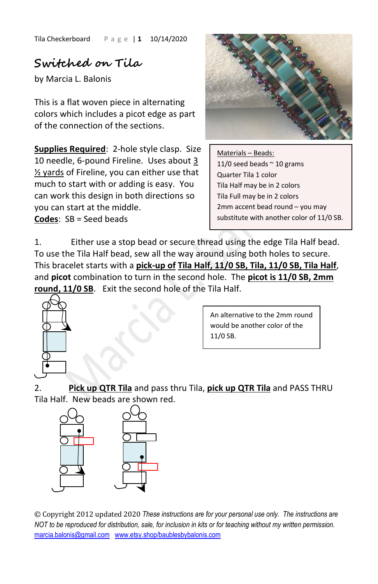Tila Checkerboard P a g e | **1** 10/14/2020

## **Switched on Tila**

by Marcia L. Balonis

This is a flat woven piece in alternating colors which includes a picot edge as part of the connection of the sections.

**Supplies Required**: 2-hole style clasp. Size 10 needle, 6-pound Fireline. Uses about 3 ½ yards of Fireline, you can either use that much to start with or adding is easy. You can work this design in both directions so you can start at the middle. **Codes**: SB = Seed beads



Materials – Beads: 11/0 seed beads  $\sim$  10 grams Quarter Tila 1 color Tila Half may be in 2 colors Tila Full may be in 2 colors 2mm accent bead round – you may substitute with another color of 11/0 SB.

1. Either use a stop bead or secure thread using the edge Tila Half bead. To use the Tila Half bead, sew all the way around using both holes to secure. This bracelet starts with a **pick-up of Tila Half, 11/0 SB, Tila, 11/0 SB, Tila Half**, and **picot** combination to turn in the second hole. The **picot is 11/0 SB, 2mm round, 11/0 SB**. Exit the second hole of the Tila Half.



An alternative to the 2mm round would be another color of the 11/0 SB.

2. **Pick up QTR Tila** and pass thru Tila, **pick up QTR Tila** and PASS THRU Tila Half. New beads are shown red.



© Copyright 2012 updated 2020 *These instructions are for your personal use only. The instructions are NOT to be reproduced for distribution, sale, for inclusion in kits or for teaching without my written permission.* [marcia.balonis@gmail.com](mailto:marcia.balonis@gmail.com) [www.etsy.shop/baublesbybalonis.com](http://www.etsy.shop/baublesbybalonis.com)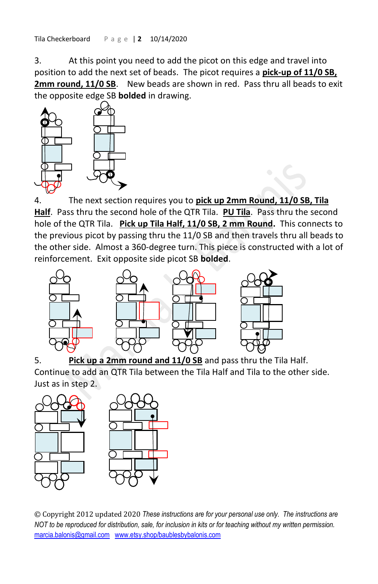Tila Checkerboard P a g e | **2** 10/14/2020

3. At this point you need to add the picot on this edge and travel into position to add the next set of beads. The picot requires a **pick-up of 11/0 SB,**  2mm round, 11/0 SB. New beads are shown in red. Pass thru all beads to exit the opposite edge SB **bolded** in drawing.



4. The next section requires you to **pick up 2mm Round, 11/0 SB, Tila Half**. Pass thru the second hole of the QTR Tila. **PU Tila**. Pass thru the second hole of the QTR Tila. **Pick up Tila Half, 11/0 SB, 2 mm Round.** This connects to the previous picot by passing thru the 11/0 SB and then travels thru all beads to the other side. Almost a 360-degree turn. This piece is constructed with a lot of reinforcement. Exit opposite side picot SB **bolded**.



5. **Pick up a 2mm round and 11/0 SB** and pass thru the Tila Half. Continue to add an QTR Tila between the Tila Half and Tila to the other side. Just as in step 2.



© Copyright 2012 updated 2020 *These instructions are for your personal use only. The instructions are NOT to be reproduced for distribution, sale, for inclusion in kits or for teaching without my written permission.* [marcia.balonis@gmail.com](mailto:marcia.balonis@gmail.com) [www.etsy.shop/baublesbybalonis.com](http://www.etsy.shop/baublesbybalonis.com)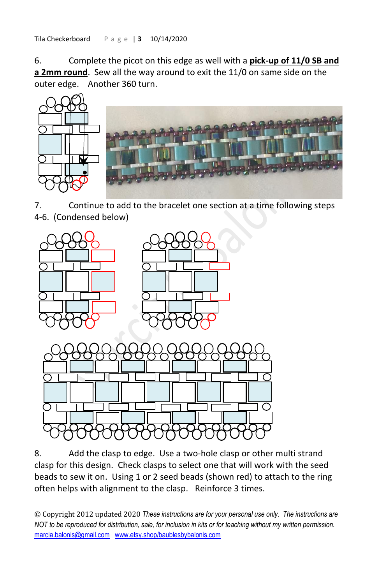Tila Checkerboard P a g e | **3** 10/14/2020

6. Complete the picot on this edge as well with a **pick-up of 11/0 SB and a 2mm round**. Sew all the way around to exit the 11/0 on same side on the outer edge. Another 360 turn.



7. Continue to add to the bracelet one section at a time following steps 4-6. (Condensed below)



8. Add the clasp to edge. Use a two-hole clasp or other multi strand clasp for this design. Check clasps to select one that will work with the seed beads to sew it on. Using 1 or 2 seed beads (shown red) to attach to the ring often helps with alignment to the clasp. Reinforce 3 times.

© Copyright 2012 updated 2020 *These instructions are for your personal use only. The instructions are NOT to be reproduced for distribution, sale, for inclusion in kits or for teaching without my written permission.* [marcia.balonis@gmail.com](mailto:marcia.balonis@gmail.com) [www.etsy.shop/baublesbybalonis.com](http://www.etsy.shop/baublesbybalonis.com)